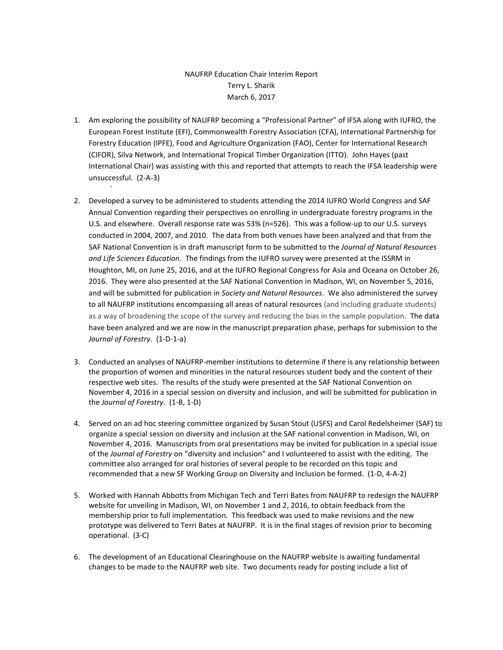## NAUFRP Education Chair Interim Report Terry L. Sharik March 6, 2017

1. Am exploring the possibility of NAUFRP becoming a "Professional Partner" of IFSA along with IUFRO, the European Forest Institute (EFI), Commonwealth Forestry Association (CFA), International Partnership for Forestry Education (IPFE), Food and Agriculture Organization (FAO), Center for International Research (CIFOR), Silva Network, and International Tropical Timber Organization (ITTO). John Hayes (past International Chair) was assisting with this and reported that attempts to reach the IFSA leadership were unsuccessful. (2-A-3)

`

- 2. Developed a survey to be administered to students attending the 2014 IUFRO World Congress and SAF Annual Convention regarding their perspectives on enrolling in undergraduate forestry programs in the U.S. and elsewhere. Overall response rate was 53% (n=526). This was a follow-up to our U.S. surveys conducted in 2004, 2007, and 2010. The data from both venues have been analyzed and that from the SAF National Convention is in draft manuscript form to be submitted to the *Journal of Natural Resources and Life Sciences Education*. The findings from the IUFRO survey were presented at the ISSRM in Houghton, MI, on June 25, 2016, and at the IUFRO Regional Congress for Asia and Oceana on October 26, 2016. They were also presented at the SAF National Convention in Madison, WI, on November 5, 2016, and will be submitted for publication in *Society and Natural Resources*. We also administered the survey to all NAUFRP institutions encompassing all areas of natural resources (and including graduate students) as a way of broadening the scope of the survey and reducing the bias in the sample population. The data have been analyzed and we are now in the manuscript preparation phase, perhaps for submission to the *Journal of Forestry*. (1-D-1-a)
- 3. Conducted an analyses of NAUFRP-member institutions to determine if there is any relationship between the proportion of women and minorities in the natural resources student body and the content of their respective web sites. The results of the study were presented at the SAF National Convention on November 4, 2016 in a special session on diversity and inclusion, and will be submitted for publication in the *Journal of Forestry*. (1-B, 1-D)
- 4. Served on an ad hoc steering committee organized by Susan Stout (USFS) and Carol Redelsheimer (SAF) to organize a special session on diversity and inclusion at the SAF national convention in Madison, WI, on November 4, 2016. Manuscripts from oral presentations may be invited for publication in a special issue of the *Journal of Forestry* on "diversity and inclusion" and I volunteered to assist with the editing. The committee also arranged for oral histories of several people to be recorded on this topic and recommended that a new SF Working Group on Diversity and Inclusion be formed. (1-D, 4-A-2)
- 5. Worked with Hannah Abbotts from Michigan Tech and Terri Bates from NAUFRP to redesign the NAUFRP website for unveiling in Madison, WI, on November 1 and 2, 2016, to obtain feedback from the membership prior to full implementation. This feedback was used to make revisions and the new prototype was delivered to Terri Bates at NAUFRP. It is in the final stages of revision prior to becoming operational. (3-C)
- 6. The development of an Educational Clearinghouse on the NAUFRP website is awaiting fundamental changes to be made to the NAUFRP web site. Two documents ready for posting include a list of